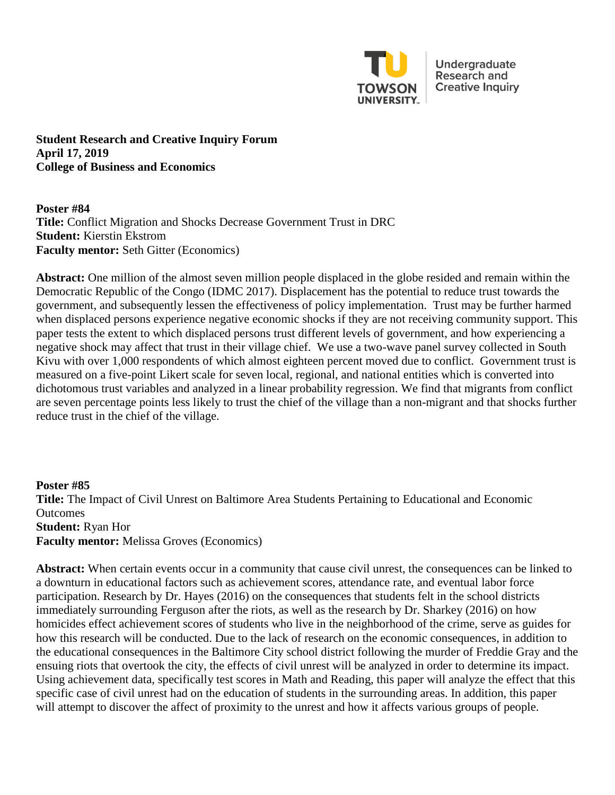

Undergraduate Research and **Creative Inquiry** 

**Student Research and Creative Inquiry Forum April 17, 2019 College of Business and Economics**

**Poster #84 Title:** Conflict Migration and Shocks Decrease Government Trust in DRC **Student:** Kierstin Ekstrom **Faculty mentor:** Seth Gitter (Economics)

**Abstract:** One million of the almost seven million people displaced in the globe resided and remain within the Democratic Republic of the Congo (IDMC 2017). Displacement has the potential to reduce trust towards the government, and subsequently lessen the effectiveness of policy implementation. Trust may be further harmed when displaced persons experience negative economic shocks if they are not receiving community support. This paper tests the extent to which displaced persons trust different levels of government, and how experiencing a negative shock may affect that trust in their village chief. We use a two-wave panel survey collected in South Kivu with over 1,000 respondents of which almost eighteen percent moved due to conflict. Government trust is measured on a five-point Likert scale for seven local, regional, and national entities which is converted into dichotomous trust variables and analyzed in a linear probability regression. We find that migrants from conflict are seven percentage points less likely to trust the chief of the village than a non-migrant and that shocks further reduce trust in the chief of the village.

**Poster #85 Title:** The Impact of Civil Unrest on Baltimore Area Students Pertaining to Educational and Economic Outcomes **Student:** Ryan Hor **Faculty mentor:** Melissa Groves (Economics)

**Abstract:** When certain events occur in a community that cause civil unrest, the consequences can be linked to a downturn in educational factors such as achievement scores, attendance rate, and eventual labor force participation. Research by Dr. Hayes (2016) on the consequences that students felt in the school districts immediately surrounding Ferguson after the riots, as well as the research by Dr. Sharkey (2016) on how homicides effect achievement scores of students who live in the neighborhood of the crime, serve as guides for how this research will be conducted. Due to the lack of research on the economic consequences, in addition to the educational consequences in the Baltimore City school district following the murder of Freddie Gray and the ensuing riots that overtook the city, the effects of civil unrest will be analyzed in order to determine its impact. Using achievement data, specifically test scores in Math and Reading, this paper will analyze the effect that this specific case of civil unrest had on the education of students in the surrounding areas. In addition, this paper will attempt to discover the affect of proximity to the unrest and how it affects various groups of people.